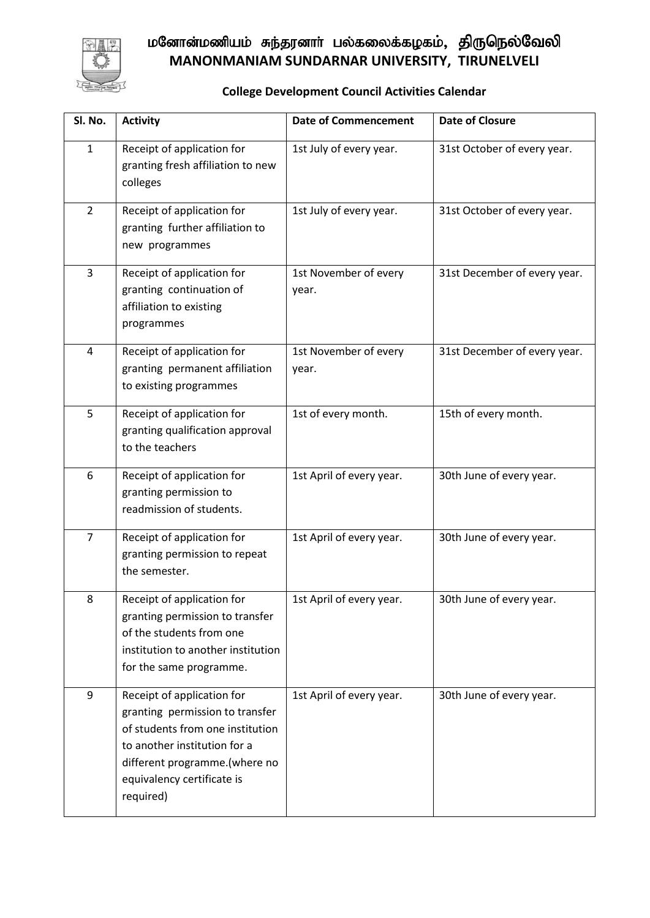

## மனோன்மணியம் சுந்தரனாா் பல்கலைக்கழகம், திருநெல்வேலி **MANONMANIAM SUNDARNAR UNIVERSITY, TIRUNELVELI**

## **College Development Council Activities Calendar**

| SI. No.        | <b>Activity</b>                                                                                                                                                                                               | <b>Date of Commencement</b>    | <b>Date of Closure</b>       |
|----------------|---------------------------------------------------------------------------------------------------------------------------------------------------------------------------------------------------------------|--------------------------------|------------------------------|
| $\mathbf{1}$   | Receipt of application for<br>granting fresh affiliation to new<br>colleges                                                                                                                                   | 1st July of every year.        | 31st October of every year.  |
| $\overline{2}$ | Receipt of application for<br>granting further affiliation to<br>new programmes                                                                                                                               | 1st July of every year.        | 31st October of every year.  |
| $\overline{3}$ | Receipt of application for<br>granting continuation of<br>affiliation to existing<br>programmes                                                                                                               | 1st November of every<br>year. | 31st December of every year. |
| 4              | Receipt of application for<br>granting permanent affiliation<br>to existing programmes                                                                                                                        | 1st November of every<br>year. | 31st December of every year. |
| 5              | Receipt of application for<br>granting qualification approval<br>to the teachers                                                                                                                              | 1st of every month.            | 15th of every month.         |
| 6              | Receipt of application for<br>granting permission to<br>readmission of students.                                                                                                                              | 1st April of every year.       | 30th June of every year.     |
| $\overline{7}$ | Receipt of application for<br>granting permission to repeat<br>the semester.                                                                                                                                  | 1st April of every year.       | 30th June of every year.     |
| 8              | Receipt of application for<br>granting permission to transfer<br>of the students from one<br>institution to another institution<br>for the same programme.                                                    | 1st April of every year.       | 30th June of every year.     |
| 9              | Receipt of application for<br>granting permission to transfer<br>of students from one institution<br>to another institution for a<br>different programme.(where no<br>equivalency certificate is<br>required) | 1st April of every year.       | 30th June of every year.     |